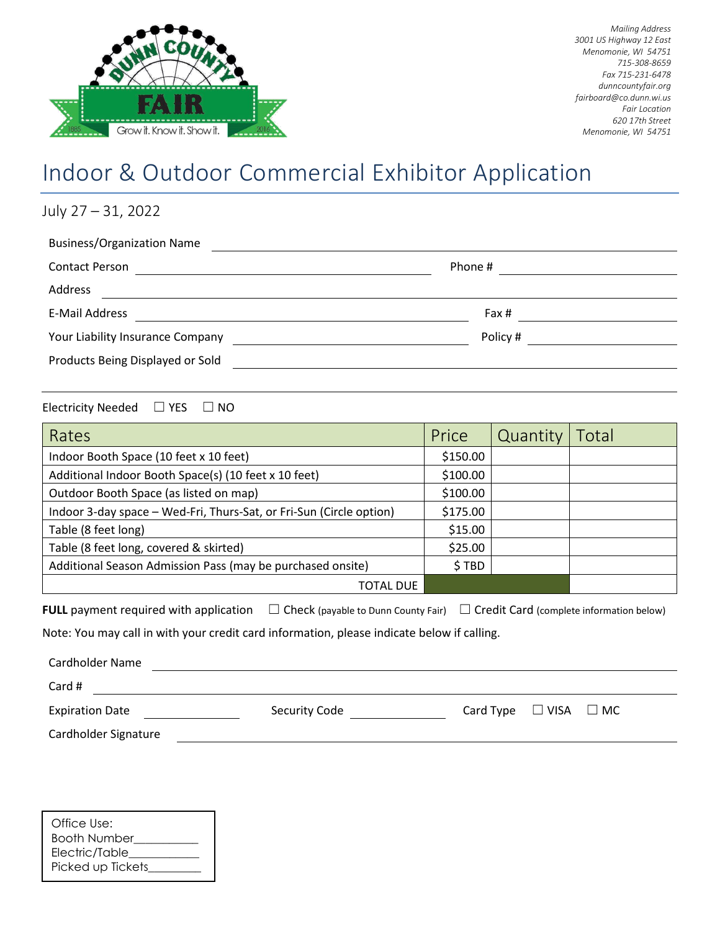

*Mailing Address 3001 US Highway 12 East Menomonie, WI 54751 715-308-8659 Fax 715-231-6478 dunncountyfair.org fairboard@co.dunn.wi.us Fair Location 620 17th Street Menomonie, WI 54751*

## Indoor & Outdoor Commercial Exhibitor Application

July 27 – 31, 2022 Business/Organization Name Contact Person Phone # Address E-Mail Address Fax # Your Liability Insurance Company Policy # Products Being Displayed or Sold

Electricity Needed □ YES □ NO

| Rates                                                               | Price    | Quantity | Total |
|---------------------------------------------------------------------|----------|----------|-------|
| Indoor Booth Space (10 feet x 10 feet)                              | \$150.00 |          |       |
| Additional Indoor Booth Space(s) (10 feet x 10 feet)                | \$100.00 |          |       |
| Outdoor Booth Space (as listed on map)                              | \$100.00 |          |       |
| Indoor 3-day space - Wed-Fri, Thurs-Sat, or Fri-Sun (Circle option) | \$175.00 |          |       |
| Table (8 feet long)                                                 | \$15.00  |          |       |
| Table (8 feet long, covered & skirted)                              | \$25.00  |          |       |
| Additional Season Admission Pass (may be purchased onsite)          | \$TBD    |          |       |
| TOTAL DUE                                                           |          |          |       |

**FULL** payment required with application  $□$  Check (payable to Dunn County Fair)  $□$  Credit Card (complete information below)

Note: You may call in with your credit card information, please indicate below if calling.

| Cardholder Name        |               |                                 |
|------------------------|---------------|---------------------------------|
| Card #                 |               |                                 |
| <b>Expiration Date</b> | Security Code | Card Type $\Box$ VISA $\Box$ MC |
| Cardholder Signature   |               |                                 |

| Office Use:         |
|---------------------|
| <b>Booth Number</b> |
| Electric/Table      |
| Picked up Tickets   |